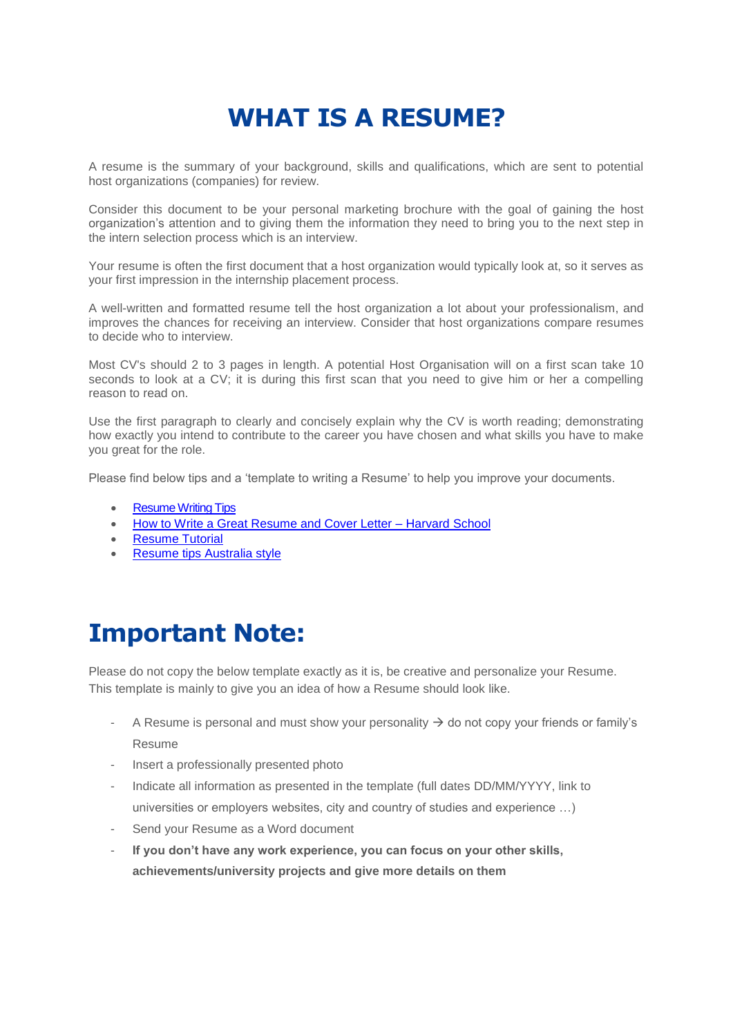# **WHAT IS A RESUME?**

A resume is the summary of your background, skills and qualifications, which are sent to potential host organizations (companies) for review.

Consider this document to be your personal marketing brochure with the goal of gaining the host organization's attention and to giving them the information they need to bring you to the next step in the intern selection process which is an interview.

Your resume is often the first document that a host organization would typically look at, so it serves as your first impression in the internship placement process.

A well-written and formatted resume tell the host organization a lot about your professionalism, and improves the chances for receiving an interview. Consider that host organizations compare resumes to decide who to interview.

Most CV's should 2 to 3 pages in length. A potential Host Organisation will on a first scan take 10 seconds to look at a CV; it is during this first scan that you need to give him or her a compelling reason to read on.

Use the first paragraph to clearly and concisely explain why the CV is worth reading; demonstrating how exactly you intend to contribute to the career you have chosen and what skills you have to make you great for the role.

Please find below tips and a 'template to writing a Resume' to help you improve your documents.

- [Resume Writing Tips](https://www.youtube.com/watch?v=-OrqzS-Qbf8)
- [How to Write a Great Resume and Cover Letter Harvard School](https://www.youtube.com/watch?v=PAthQKLhBTs)
- [Resume Tutorial](https://www.youtube.com/watch?v=G8TfZF-o8ns)
- [Resume tips Australia style](http://career-advice.careerone.com.au/resume-cover-letter/resume-writing/resume-writing-the-basics/article.aspx)

### **Important Note:**

Please do not copy the below template exactly as it is, be creative and personalize your Resume. This template is mainly to give you an idea of how a Resume should look like.

- A Resume is personal and must show your personality  $\rightarrow$  do not copy your friends or family's Resume
- Insert a professionally presented photo
- Indicate all information as presented in the template (full dates DD/MM/YYYY, link to universities or employers websites, city and country of studies and experience …)
- Send your Resume as a Word document
- **If you don't have any work experience, you can focus on your other skills, achievements/university projects and give more details on them**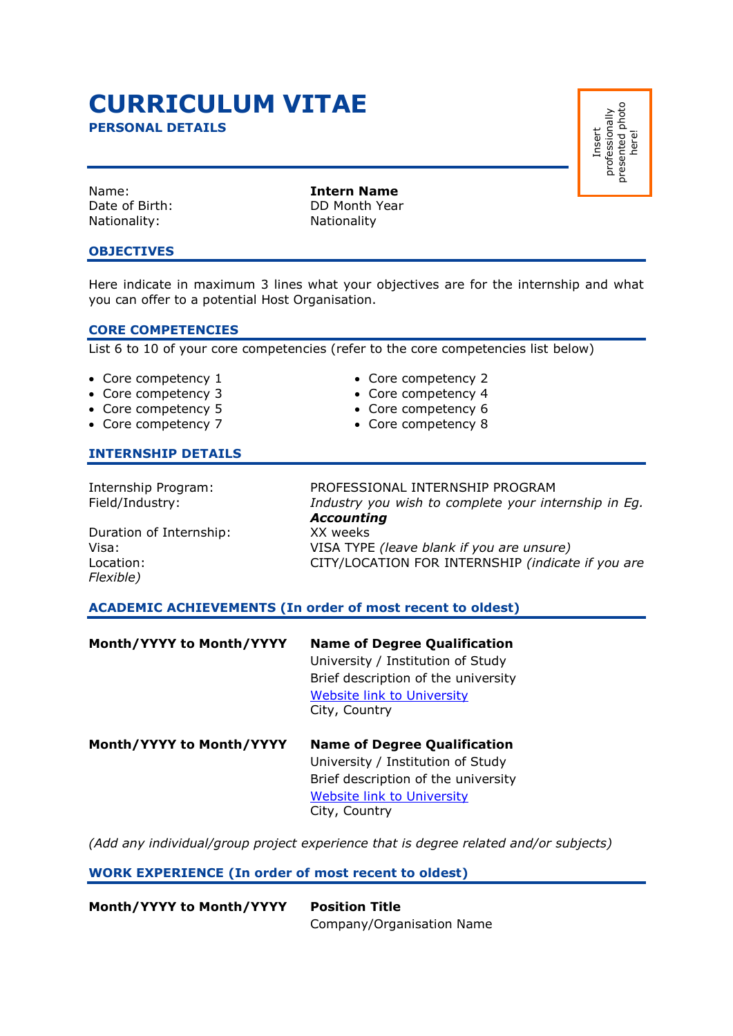# **CURRICULUM VITAE**

**PERSONAL DETAILS**

Nationality: Nationality

Name: **Intern Name** Date of Birth: DD Month Year

### **OBJECTIVES**

Here indicate in maximum 3 lines what your objectives are for the internship and what you can offer to a potential Host Organisation.

### **CORE COMPETENCIES**

List 6 to 10 of your core competencies (refer to the core competencies list below)

- Core competency 1 Core competency 2
- Core competency 3 Core competency 4
- Core competency 5 Core competency 6
- Core competency 7 Core competency 8

### **INTERNSHIP DETAILS**

Duration of Internship: XX weeks Location: CITY/LOCATION FOR INTERNSHIP *(indicate if you are Flexible)* 

Internship Program: PROFESSIONAL INTERNSHIP PROGRAM Field/Industry: *Industry you wish to complete your internship in Eg. Accounting* Visa: VISA TYPE *(leave blank if you are unsure)*

**ACADEMIC ACHIEVEMENTS (In order of most recent to oldest)** 

| Month/YYYY to Month/YYYY | <b>Name of Degree Qualification</b><br>University / Institution of Study<br>Brief description of the university<br><b>Website link to University</b><br>City, Country |
|--------------------------|-----------------------------------------------------------------------------------------------------------------------------------------------------------------------|
| Month/YYYY to Month/YYYY | <b>Name of Degree Qualification</b><br>University / Institution of Study<br>Brief description of the university                                                       |

Website link to University City, Country

*(Add any individual/group project experience that is degree related and/or subjects)* 

### **WORK EXPERIENCE (In order of most recent to oldest)**

**Month/YYYY to Month/YYYY Position Title**  Company/Organisation Name Insert professionally presented photo professionally<br>presented photo<br>here!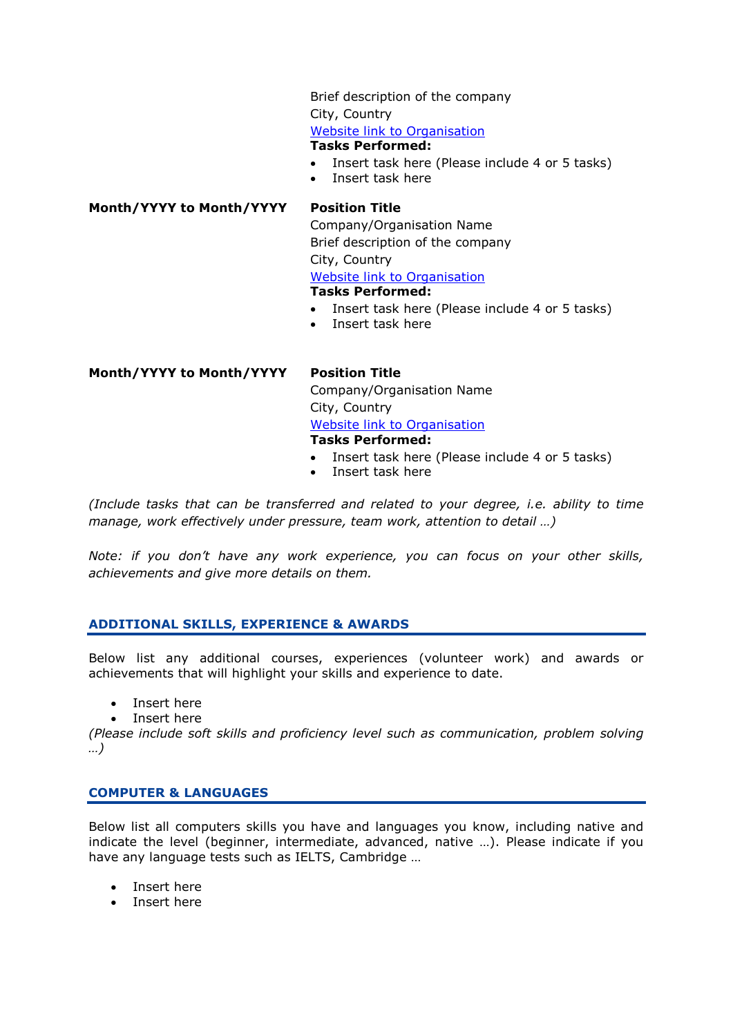Brief description of the company City, Country Website link to Organisation **Tasks Performed:** 

- Insert task here (Please include 4 or 5 tasks)
- Insert task here

**Month/YYYY to Month/YYYY Position Title** 

Company/Organisation Name Brief description of the company City, Country Website link to Organisation **Tasks Performed:** 

- Insert task here (Please include 4 or 5 tasks)
- Insert task here

**Month/YYYY to Month/YYYY Position Title**  Company/Organisation Name City, Country Website link to Organisation **Tasks Performed:** 

- Insert task here (Please include 4 or 5 tasks)
- Insert task here

*(Include tasks that can be transferred and related to your degree, i.e. ability to time manage, work effectively under pressure, team work, attention to detail …)*

*Note: if you don't have any work experience, you can focus on your other skills, achievements and give more details on them.* 

### **ADDITIONAL SKILLS, EXPERIENCE & AWARDS**

Below list any additional courses, experiences (volunteer work) and awards or achievements that will highlight your skills and experience to date.

- Insert here
- Insert here

*(Please include soft skills and proficiency level such as communication, problem solving …)*

### **COMPUTER & LANGUAGES**

Below list all computers skills you have and languages you know, including native and indicate the level (beginner, intermediate, advanced, native …). Please indicate if you have any language tests such as IELTS, Cambridge …

- Insert here
- Insert here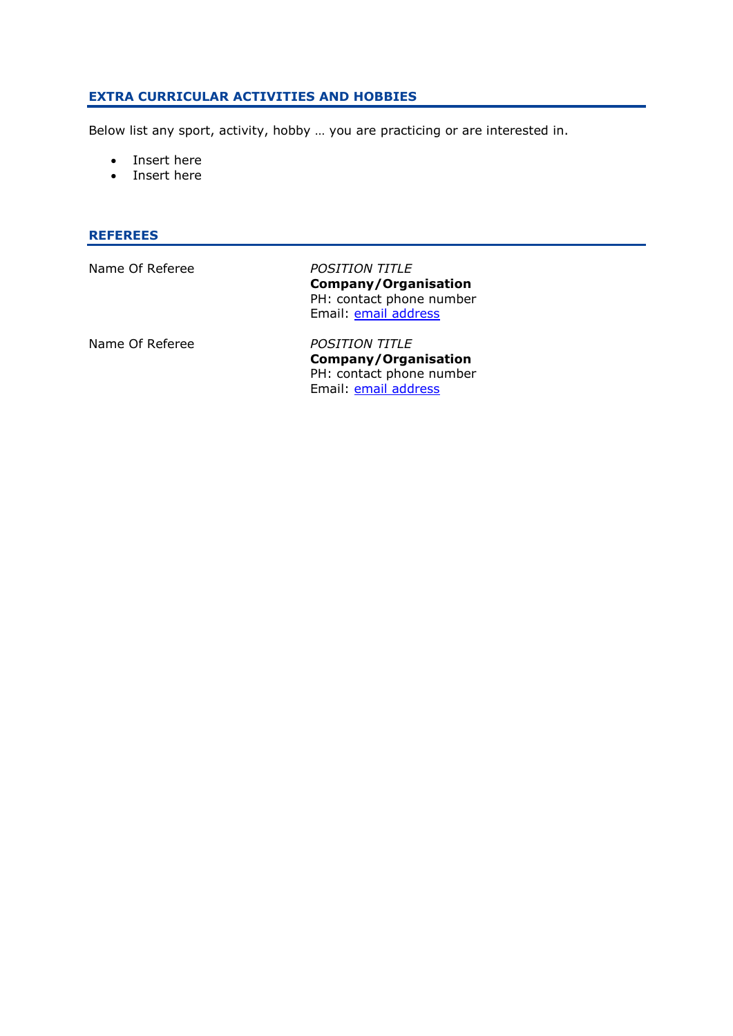### **EXTRA CURRICULAR ACTIVITIES AND HOBBIES**

Below list any sport, activity, hobby … you are practicing or are interested in.

- Insert here
- Insert here

### **REFEREES**

| Name Of Referee | <b>POSITION TITLE</b><br>Company/Organisation<br>PH: contact phone number<br>Email: email address |
|-----------------|---------------------------------------------------------------------------------------------------|
| Name Of Referee | <b>POSITION TITLE</b><br>Company/Organisation<br>PH: contact phone number                         |

Email: **email address**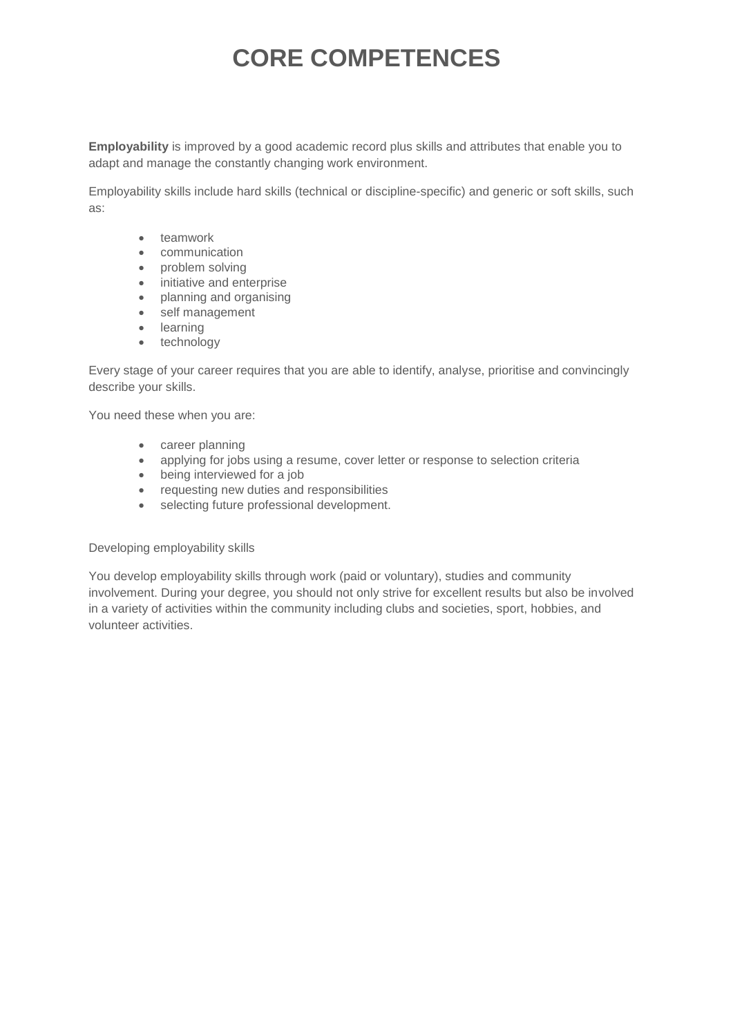**Employability** is improved by a good academic record plus skills and attributes that enable you to adapt and manage the constantly changing work environment.

Employability skills include hard skills (technical or discipline-specific) and generic or soft skills, such as:

- teamwork
- communication
- problem solving
- initiative and enterprise
- planning and organising
- self management
- learning
- technology

Every stage of your career requires that you are able to identify, analyse, prioritise and convincingly describe your skills.

You need these when you are:

- career planning
- applying for jobs using a resume, cover letter or response to selection criteria
- being interviewed for a job
- requesting new duties and responsibilities
- selecting future professional development.

Developing employability skills

You develop employability skills through work (paid or voluntary), studies and community involvement. During your degree, you should not only strive for excellent results but also be involved in a variety of activities within the community including clubs and societies, sport, hobbies, and volunteer activities.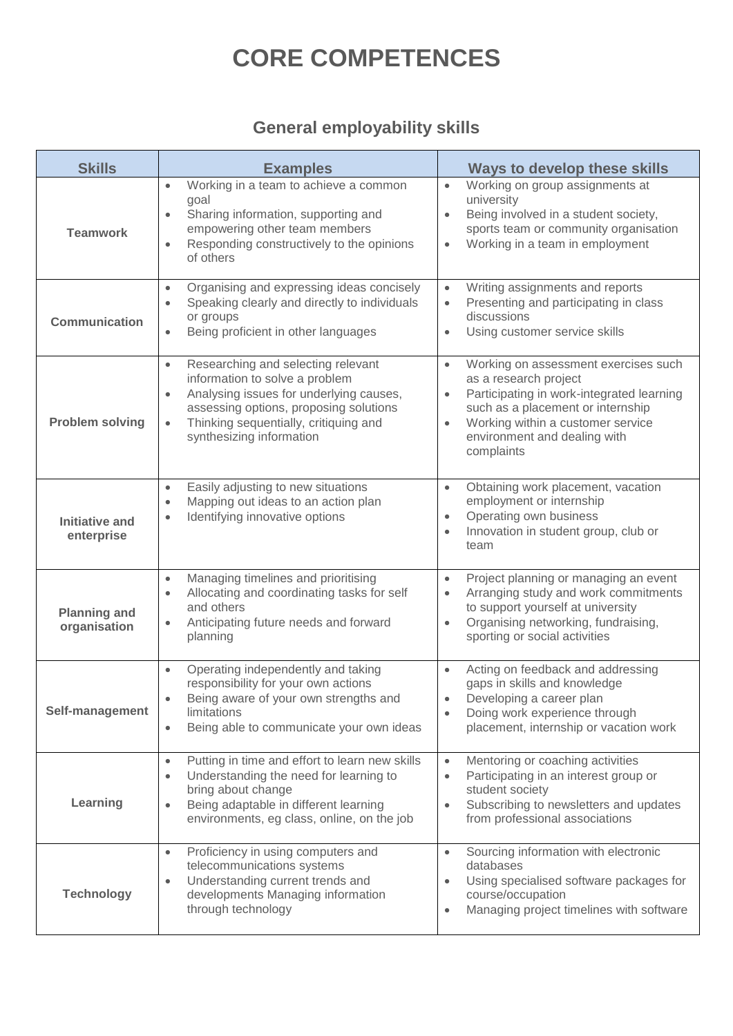### **General employability skills**

| <b>Skills</b>                       | <b>Examples</b>                                                                                                                                                                                                                                          | <b>Ways to develop these skills</b>                                                                                                                                                                                                                                       |
|-------------------------------------|----------------------------------------------------------------------------------------------------------------------------------------------------------------------------------------------------------------------------------------------------------|---------------------------------------------------------------------------------------------------------------------------------------------------------------------------------------------------------------------------------------------------------------------------|
| <b>Teamwork</b>                     | Working in a team to achieve a common<br>$\bullet$<br>goal<br>Sharing information, supporting and<br>$\bullet$<br>empowering other team members<br>Responding constructively to the opinions<br>$\bullet$<br>of others                                   | Working on group assignments at<br>$\bullet$<br>university<br>Being involved in a student society,<br>$\bullet$<br>sports team or community organisation<br>Working in a team in employment<br>$\bullet$                                                                  |
| <b>Communication</b>                | Organising and expressing ideas concisely<br>$\bullet$<br>Speaking clearly and directly to individuals<br>$\bullet$<br>or groups<br>Being proficient in other languages<br>$\bullet$                                                                     | Writing assignments and reports<br>$\bullet$<br>Presenting and participating in class<br>$\bullet$<br>discussions<br>Using customer service skills<br>$\bullet$                                                                                                           |
| <b>Problem solving</b>              | Researching and selecting relevant<br>$\bullet$<br>information to solve a problem<br>Analysing issues for underlying causes,<br>assessing options, proposing solutions<br>Thinking sequentially, critiquing and<br>$\bullet$<br>synthesizing information | Working on assessment exercises such<br>$\bullet$<br>as a research project<br>Participating in work-integrated learning<br>$\bullet$<br>such as a placement or internship<br>Working within a customer service<br>$\bullet$<br>environment and dealing with<br>complaints |
| <b>Initiative and</b><br>enterprise | Easily adjusting to new situations<br>$\bullet$<br>Mapping out ideas to an action plan<br>$\bullet$<br>Identifying innovative options<br>$\bullet$                                                                                                       | Obtaining work placement, vacation<br>$\bullet$<br>employment or internship<br>Operating own business<br>$\bullet$<br>Innovation in student group, club or<br>$\bullet$<br>team                                                                                           |
| <b>Planning and</b><br>organisation | Managing timelines and prioritising<br>$\bullet$<br>Allocating and coordinating tasks for self<br>and others<br>Anticipating future needs and forward<br>$\bullet$<br>planning                                                                           | Project planning or managing an event<br>$\bullet$<br>Arranging study and work commitments<br>$\bullet$<br>to support yourself at university<br>Organising networking, fundraising,<br>$\bullet$<br>sporting or social activities                                         |
| Self-management                     | Operating independently and taking<br>$\bullet$<br>responsibility for your own actions<br>Being aware of your own strengths and<br>$\bullet$<br>limitations<br>Being able to communicate your own ideas<br>$\bullet$                                     | Acting on feedback and addressing<br>$\bullet$<br>gaps in skills and knowledge<br>Developing a career plan<br>$\bullet$<br>Doing work experience through<br>placement, internship or vacation work                                                                        |
| Learning                            | Putting in time and effort to learn new skills<br>$\bullet$<br>Understanding the need for learning to<br>$\bullet$<br>bring about change<br>Being adaptable in different learning<br>$\bullet$<br>environments, eg class, online, on the job             | Mentoring or coaching activities<br>$\bullet$<br>Participating in an interest group or<br>$\bullet$<br>student society<br>Subscribing to newsletters and updates<br>$\bullet$<br>from professional associations                                                           |
| <b>Technology</b>                   | Proficiency in using computers and<br>$\bullet$<br>telecommunications systems<br>Understanding current trends and<br>developments Managing information<br>through technology                                                                             | Sourcing information with electronic<br>$\bullet$<br>databases<br>Using specialised software packages for<br>$\bullet$<br>course/occupation<br>Managing project timelines with software<br>$\bullet$                                                                      |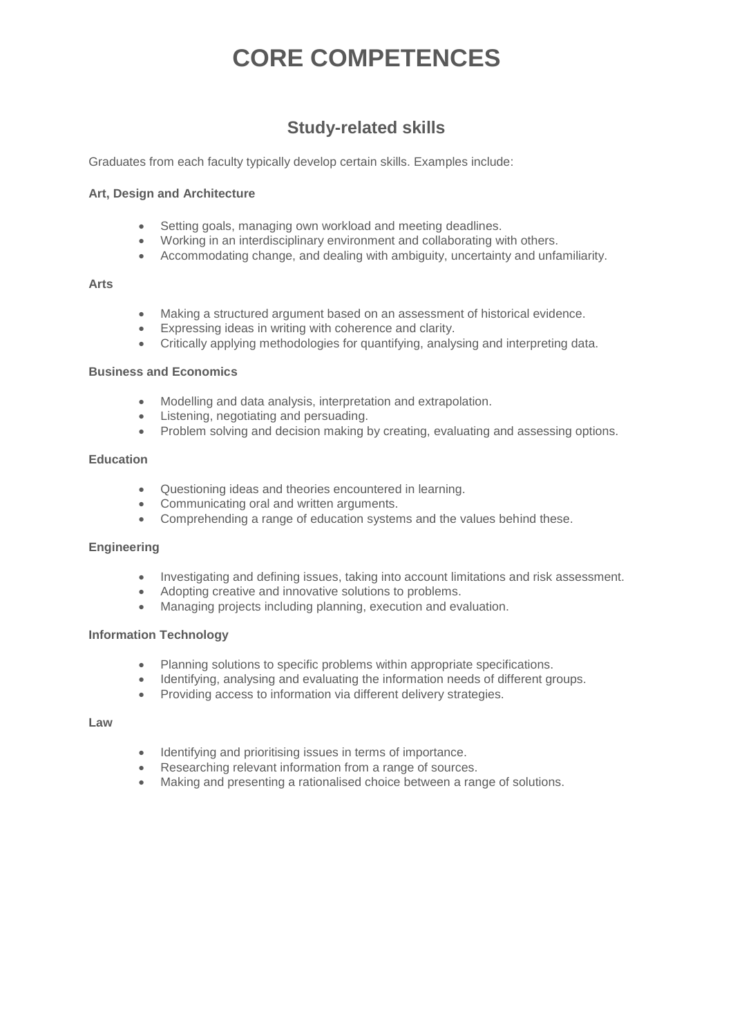### **Study-related skills**

Graduates from each faculty typically develop certain skills. Examples include:

### **Art, Design and Architecture**

- Setting goals, managing own workload and meeting deadlines.
- Working in an interdisciplinary environment and collaborating with others.
- Accommodating change, and dealing with ambiguity, uncertainty and unfamiliarity.

#### **Arts**

- Making a structured argument based on an assessment of historical evidence.
- Expressing ideas in writing with coherence and clarity.
- Critically applying methodologies for quantifying, analysing and interpreting data.

#### **Business and Economics**

- Modelling and data analysis, interpretation and extrapolation.
- Listening, negotiating and persuading.
- Problem solving and decision making by creating, evaluating and assessing options.

#### **Education**

- Questioning ideas and theories encountered in learning.
- Communicating oral and written arguments.
- Comprehending a range of education systems and the values behind these.

### **Engineering**

- Investigating and defining issues, taking into account limitations and risk assessment.
- Adopting creative and innovative solutions to problems.
- Managing projects including planning, execution and evaluation.

### **Information Technology**

- Planning solutions to specific problems within appropriate specifications.
- Identifying, analysing and evaluating the information needs of different groups.
- Providing access to information via different delivery strategies.

#### **Law**

- Identifying and prioritising issues in terms of importance.
- Researching relevant information from a range of sources.
- Making and presenting a rationalised choice between a range of solutions.